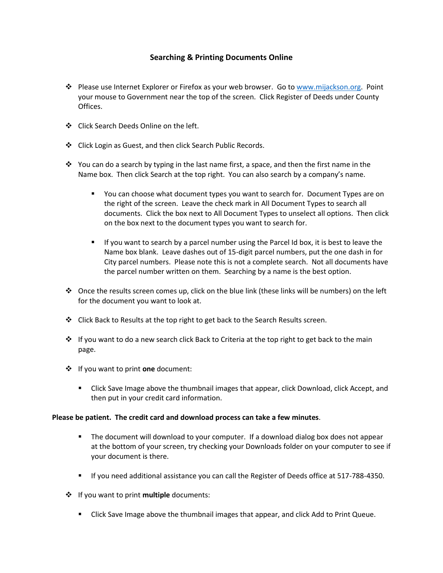## **Searching & Printing Documents Online**

- \* Please use Internet Explorer or Firefox as your web browser. Go to [www.mijackson.org.](http://www.mijackson.org/) Point your mouse to Government near the top of the screen. Click Register of Deeds under County Offices.
- Click Search Deeds Online on the left.
- Click Login as Guest, and then click Search Public Records.
- You can do a search by typing in the last name first, a space, and then the first name in the Name box. Then click Search at the top right. You can also search by a company's name.
	- You can choose what document types you want to search for. Document Types are on the right of the screen. Leave the check mark in All Document Types to search all documents. Click the box next to All Document Types to unselect all options. Then click on the box next to the document types you want to search for.
	- If you want to search by a parcel number using the Parcel Id box, it is best to leave the Name box blank. Leave dashes out of 15-digit parcel numbers, put the one dash in for City parcel numbers. Please note this is not a complete search. Not all documents have the parcel number written on them. Searching by a name is the best option.
- Once the results screen comes up, click on the blue link (these links will be numbers) on the left for the document you want to look at.
- $\div$  Click Back to Results at the top right to get back to the Search Results screen.
- $\div$  If you want to do a new search click Back to Criteria at the top right to get back to the main page.
- If you want to print **one** document:
	- Click Save Image above the thumbnail images that appear, click Download, click Accept, and then put in your credit card information.

## **Please be patient. The credit card and download process can take a few minutes**.

- **The document will download to your computer. If a download dialog box does not appear** at the bottom of your screen, try checking your Downloads folder on your computer to see if your document is there.
- If you need additional assistance you can call the Register of Deeds office at 517-788-4350.
- If you want to print **multiple** documents:
	- Click Save Image above the thumbnail images that appear, and click Add to Print Queue.